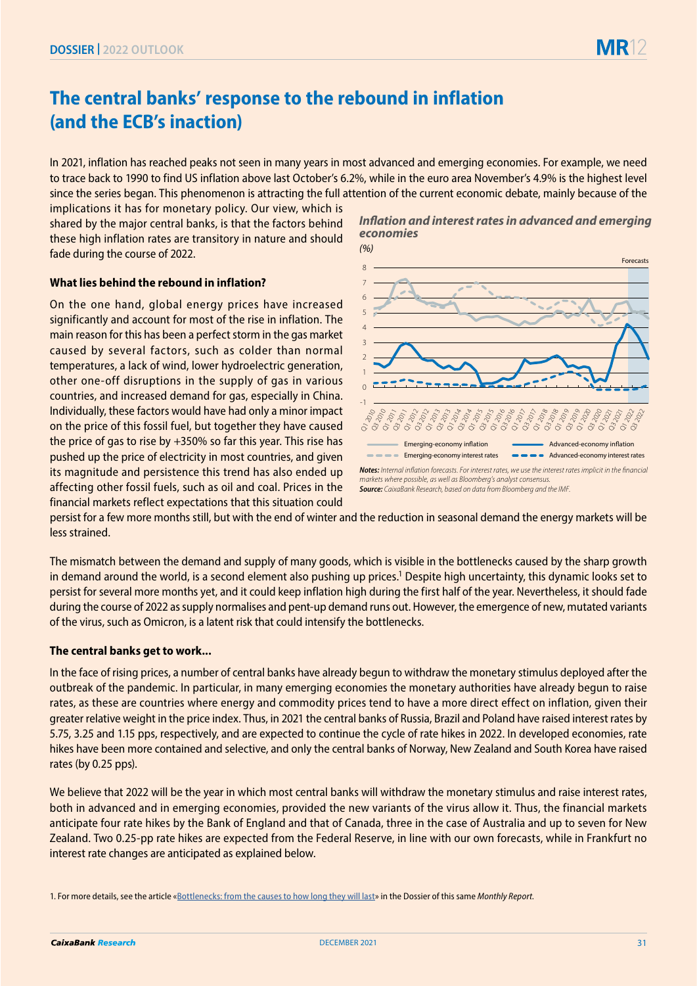# **The central banks' response to the rebound in inflation (and the ECB's inaction)**

In 2021, inflation has reached peaks not seen in many years in most advanced and emerging economies. For example, we need to trace back to 1990 to find US inflation above last October's 6.2%, while in the euro area November's 4.9% is the highest level since the series began. This phenomenon is attracting the full attention of the current economic debate, mainly because of the

implications it has for monetary policy. Our view, which is shared by the major central banks, is that the factors behind these high inflation rates are transitory in nature and should fade during the course of 2022.

## **What lies behind the rebound in inflation?**

On the one hand, global energy prices have increased significantly and account for most of the rise in inflation. The main reason for this has been a perfect storm in the gas market caused by several factors, such as colder than normal temperatures, a lack of wind, lower hydroelectric generation, other one-off disruptions in the supply of gas in various countries, and increased demand for gas, especially in China. Individually, these factors would have had only a minor impact on the price of this fossil fuel, but together they have caused the price of gas to rise by +350% so far this year. This rise has pushed up the price of electricity in most countries, and given its magnitude and persistence this trend has also ended up affecting other fossil fuels, such as oil and coal. Prices in the financial markets reflect expectations that this situation could

#### **Inflation and interest rates in advanced and emerging** *economies (%)*



*markets where possible, as well as Bloomberg's analyst consensus. Source: CaixaBank Research, based on data from Bloomberg and the IMF.* 

persist for a few more months still, but with the end of winter and the reduction in seasonal demand the energy markets will be less strained.

The mismatch between the demand and supply of many goods, which is visible in the bottlenecks caused by the sharp growth in demand around the world, is a second element also pushing up prices.<sup>1</sup> Despite high uncertainty, this dynamic looks set to persist for several more months yet, and it could keep inflation high during the first half of the year. Nevertheless, it should fade during the course of 2022 as supply normalises and pent-up demand runs out. However, the emergence of new, mutated variants of the virus, such as Omicron, is a latent risk that could intensify the bottlenecks.

## **The central banks get to work...**

In the face of rising prices, a number of central banks have already begun to withdraw the monetary stimulus deployed after the outbreak of the pandemic. In particular, in many emerging economies the monetary authorities have already begun to raise rates, as these are countries where energy and commodity prices tend to have a more direct effect on inflation, given their greater relative weight in the price index. Thus, in 2021 the central banks of Russia, Brazil and Poland have raised interest rates by 5.75, 3.25 and 1.15 pps, respectively, and are expected to continue the cycle of rate hikes in 2022. In developed economies, rate hikes have been more contained and selective, and only the central banks of Norway, New Zealand and South Korea have raised rates (by 0.25 pps).

We believe that 2022 will be the year in which most central banks will withdraw the monetary stimulus and raise interest rates, both in advanced and in emerging economies, provided the new variants of the virus allow it. Thus, the financial markets anticipate four rate hikes by the Bank of England and that of Canada, three in the case of Australia and up to seven for New Zealand. Two 0.25-pp rate hikes are expected from the Federal Reserve, in line with our own forecasts, while in Frankfurt no interest rate changes are anticipated as explained below.

<sup>1.</sup> For more details, see the article [«Bottlenecks: from the causes to how long they will last»](https://www.caixabankresearch.com/en/economia-y-mercados/analisis-coyuntura/cuellos-botella-del-al-cuando) in the Dossier of this same *Monthly Report.*